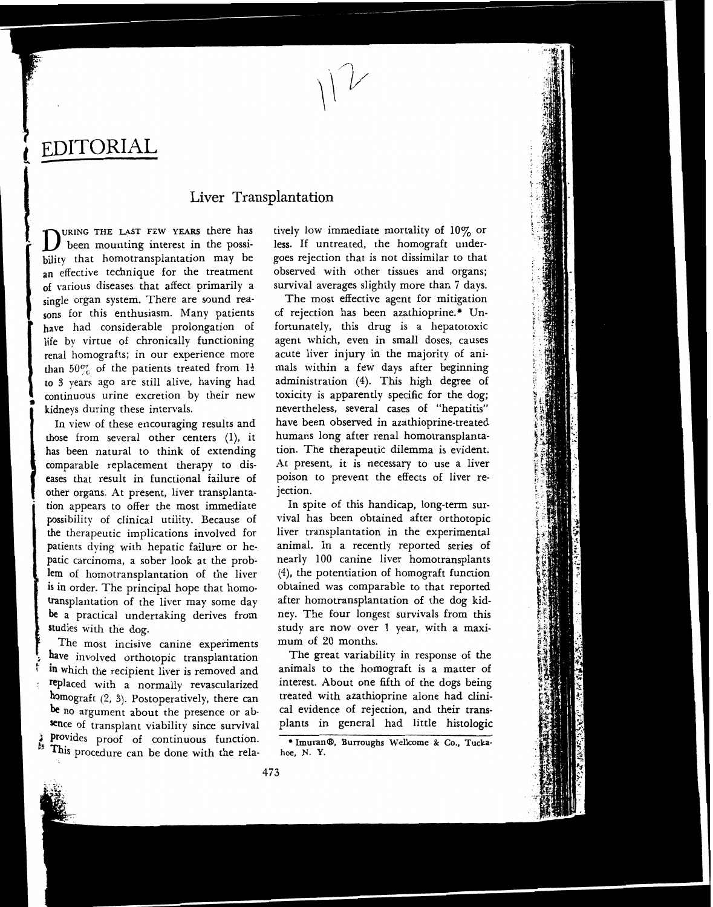EDITORIAL

# Liver Transplantation

been mounting interest in the possibility that homotransplantation may be an effective technique for the treatment of various diseases that affect primarily a survival averages slightly more than 7 days.<br>single organ system. There are sound rea-<br>The most effective agent for mitigation sons for this enthusiasm. Many patients of rejection has been azathioprine.\* Unhave had considerable prolongation of fortunately, this drug is a hepatotoxic life by virtue of chronically functioning agent which, even in small doses, causes renal homografts; in our experience more acute liver injury in the majority of anithan  $50\%$  of the patients treated from  $1\frac{1}{2}$  mals within a few days after beginning to **3** years ago are still alive, having had administration (4). This high degree of continuous urine excretion by their new toxicity is apparently specific for the dog;

those from several other centers (1), it humans long after renal homotransplantahas been natural to think of extending tion. The therapeutic dilemma is evident. other organs. At present, liver transplanta- jection. tion appears to offer the most immediate In spite of this handicap, long-term surpossibility of clinical utility. Because of vival has been obtained after orthotopic the therapeutic implications involved for liver transplantation in the experimental patients dying with hepatic failure or he- animal. In a recently reported series of patic carcinoma, a sober look at the prob- nearly 100 canine liver homotransplants lem of homotransplantation of the liver **(4),** the potentiation of homograft function is in order. The principal hope that homo- obtained was comparable to that reported transplantation of the liver may some day after homotransplantation of the dog kid**be** a practical undertaking derives from ney. The four longest survivals from this studies with the dog. The study are now over 1 year, with a maxi-

The most incisive canine experiments mum of 20 months. have involved orthotopic transplantation The great variability in response of the in which the recipient liver is removed and animals to the homograft is a matter of in which the recipient liver is removed and replaced with a normally revascularized sence of transplant viability since survival plants in general had little histologic **2**Provides proof of continuous function.  $\bullet$  **Imuran@**, Burroughs Wellcome & Co., Tucka. This procedure can be done with the rela- hoe, N. Y.

**URING** THE LAST FEW **YEARS** there **has** tively low immediate mortality of 10% or less. If untreated, the homograft undergoes rejection that is not dissimilar to that observed with other tissues and organs; survival averages slightly more than 7 days.

kidneys during these intervals. https://www.mevertheless, several cases of "hepatitis" In view of these encouraging results and have been observed in azathioprine-treated comparable replacement therapy to dis- At present, it is necessary to use a liver eases that result in functional failure of poison to prevent the effects of liver re-

interest. About one fifth of the dogs being homograft **(2, 3).** Postoperatively, there can treated with azathioprine alone had clinibe no argument about the presence or ab- cal evidence of rejection, and their trans-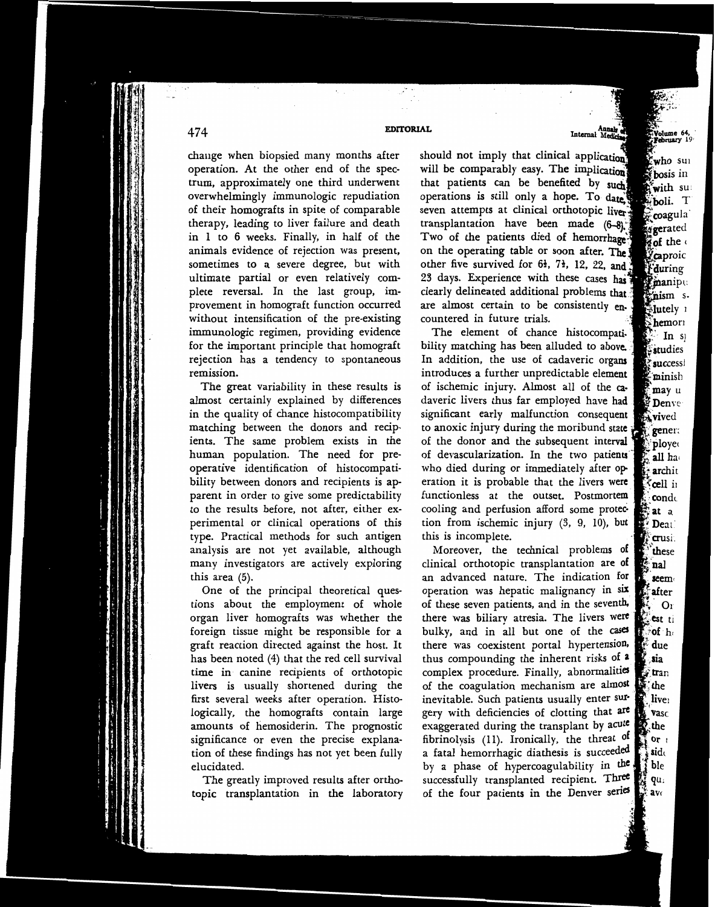## **EDITORIAL**

. .

change when biopsied many months after should not imply that clinical application operation. At the other end of the spec- will be comparably easy. The implication trum, approximately one third underwent that patients can be benefited by such overwhelmingly immunologic repudiation operations is still only a hope. To **date,**  of their homografts in spite of comparable therapy, leading to liver failure and death in 1 to 6 weeks. Finally, in half of the animals evidence of rejection was present, sometimes to a severe degree, but with ultimate partial or even relatively complete reversal. In the last group, im-<br>provement in homograft function occurred are almost certain to be consistently enplete reversal. In the last group, imwithout intensification of the pre-existing immunologic regimen, providing evidence for the important principle that homograft rejection has a tendency to spontaneous remission.

The great variability in these results is almost certainly explained by differences in the quality of chance histocompatibility matching between the donors and recipients. The same problem exists in the human population. The need for preoperative identification of histocompatibility between donors and recipients is apparent in order to give some predictability to the results before, not after, either experimental or clinical operations of this type. Practical methods for such antigen analysis are not yet available, although many investigators are actively exploring this area (5).

One of the principal theoretical questions about the employment of whole organ liver homografts was whether the foreign tissue might be responsible for a graft reaction directed against the host. It has been noted (4) that the red cell survival time in canine recipients of orthotopic livers is usually shortened during the first several weeks after operation. Histologically, the homografts contain large amounts of hemosiderin. The prognostic significance or even the precise explanation of these findings has not yet been fully elucidated.

The greatly improved results after orthotopic transplantation in the laboratory seven attempts at clinical orthotopic liver. transplantation have been made (6-8). Two of the patients died of hemorrhage on the operating table or soon after. The other five survived for 6<sup>1</sup>, 7<sup>1</sup>, 12, 22, and 23 days. Experience with these cases has countered in future trials.

The element of chance histocompatibility matching has been alluded to above. In addition, the use of cadaveric organs introduces a further unpredictable element of ischemic injury. Almost all of the cadaveric livers thus far employed have had significant early malfunction consequent to anoxic injury during the moribund state of the donor and the subsequent interval of devascularization. In the two patients who died during or immediately after operation it is probable that the livers were functionless at the outset. Postmortem cooling and perfusion afford some protection from ischemic injury  $(3, 9, 10)$ , but this is incomplete.

Moreover, the technical problems of clinical orthotopic transplantation are of an advanced nature. The indication for operation was hepatic malignancy in six of these seven patients, and in the seventh, there was biliary atresia. The livers were bulky, and in all but one of the cases there was coexistent portal hypertension, thus compounding the inherent risks of a complex procedure. Finally, abnormalities of the coagulation mechanism are almost inevitable. Such patients usually enter surgery with deficiencies of clotting that are exaggerated during the transplant by acute fibrinolysis (11). Ironically, the threat of a fatal hemorrhagic diathesis is succeeded by a phase of hypercoagulability in the successfully transplanted recipient. Three of the four patients in the Denver series

who sul bosis in f**with su**:

boli. T coagula gerated of the aproic **during** manipu mism s. Mutely 1  $\geq$ **hemori**  $\ln s$ studies successi minish may u **Denve** tx vived **i gener:** ploye all ha archit cell in **con**de at a Deat. **crusi** these nal seem after  $O<sub>1</sub>$ est ti  $\partial f$  h due : sia , tran the live: **Vasc** .the or $\mathfrak{r}$ 

side

ble

qu:

 $av<sub>0</sub>$ 

474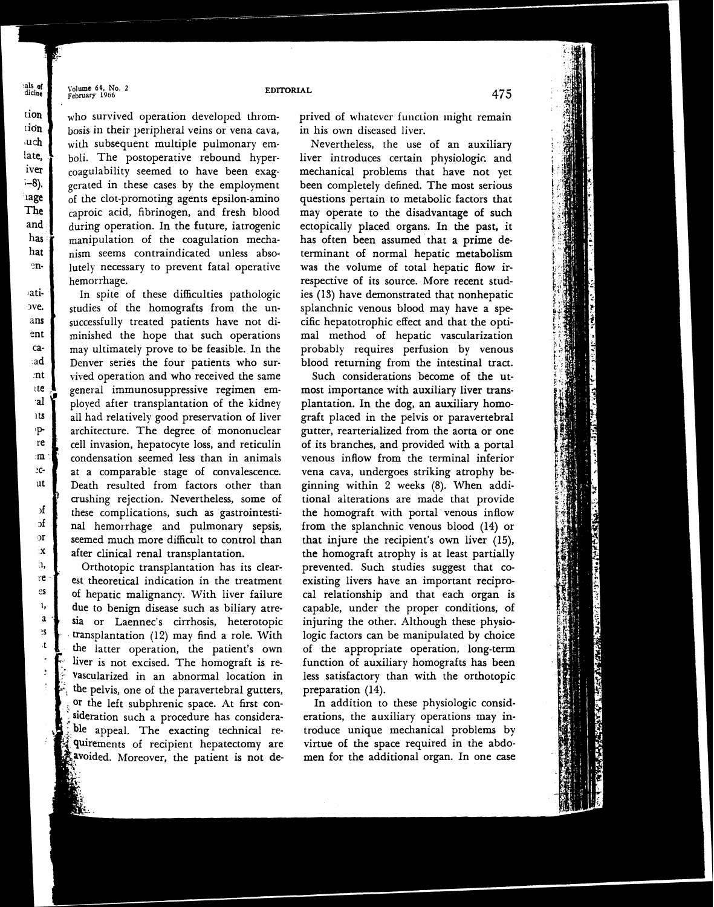Volume 64, No. 2<br>February 1966

als of<br>dicine

tion

tion

 $u$ ch

late.

iver

 $-8$ ).

iage

The

and

has

hat

en-

atiove.

ans

ent ca-

:ad

mt

te.

al'

**1ts** 

·p-

re

 $m$ 

 $_{c}$ 

ut

 $\mathbf{H}$ 

 $\mathbf{d}$ 

 $\sigma$ 

İΧ

'n,

re

es

١,

 $\mathbf{a}$ 

۹Ś

 $\mathbf{t}$ 

### **EDITORIAL**

who survived operation developed thrombosis in their peripheral veins or vena cava, with subsequent multiple pulmonary emboli. The postoperative rebound hypercoagulability seemed to have been exaggerated in these cases by the employment of the clot-promoting agents epsilon-amino caproic acid, fibrinogen, and fresh blood during operation. In the future, iatrogenic manipulation of the coagulation mechanism seems contraindicated unless absolutely necessary to prevent fatal operative hemorrhage.

studies of the homografts from the unsuccessfully treated patients have not diminished the hope that such operations may ultimately prove to be feasible. In the Denver series the four patients who survived operation and who received the same general immunosuppressive regimen employed after transplantation of the kidney all had relatively good preservation of liver architecture. The degree of mononuclear cell invasion, hepatocyte loss, and reticulin condensation seemed less than in animals at a comparable stage of convalescence. Death resulted from factors other than crushing rejection. Nevertheless, some of these complications, such as gastrointestinal hemorrhage and pulmonary sepsis, seemed much more difficult to control than after clinical renal transplantation.

Orthotopic transplantation has its clearest theoretical indication in the treatment of hepatic malignancy. With liver failure due to benign disease such as biliary atresia or Laennec's cirrhosis, heterotopic transplantation (12) may find a role. With the latter operation, the patient's own liver is not excised. The homograft is revascularized in an abnormal location in the pelvis, one of the paravertebral gutters, preparation (14). or the left subphrenic space. At first consideration such a procedure has considerable appeal. The exacting technical requirements of recipient hepatectomy are avoided. Moreover, the patient is not de-

prived of whatever function might remain in his own diseased liver.

Nevertheless, the use of an auxiliary liver introduces certain physiologic and mechanical problems that have not yet been completely defined. The most serious questions pertain to metabolic factors that may operate to the disadvantage of such ectopically placed organs. In the past, it has often been assumed that a prime determinant of normal hepatic metabolism was the volume of total hepatic flow irrespective of its source. More recent stud-In spite of these difficulties pathologic ies **(13)** have demonstrated that nonhepatic splanchnic venous blood may have a specific hepatotrophic effect and that the optimal method of hepatic vascularization probably requires perfusion by venous blood returning from the intestinal tract.

> Such considerations become of the **ut**most importance with auxiliary liver transplantation. In the dog, an auxiliary homograft placed in the pelvis or paravertebral gutter, rearterialized from the aorta or one of its branches, and provided with a portal venous inflow from the terminal inferior vena cava, undergoes striking atrophy beginning within 2 weeks (8). When additional alterations are made that provide the homograft with portal venous inflow from the splanchnic venous blood (14) or that injure the recipient's own liver (15), the homograft atrophy is at least partially prevented. Such studies suggest that coexisting livers have an important reciprocal relationship and that each organ is capable, under the proper conditions, of injuring the other. Although these physiologic factors can be manipulated by choice of the appropriate operation, long-term function of auxiliary homografts has been less satisfactory than with the orthotopic

In addition to these physiologic consid erations, the auxiliary operations may introduce unique mechanical problems by virtue of the space required in the abdomen for the additional organ. In one case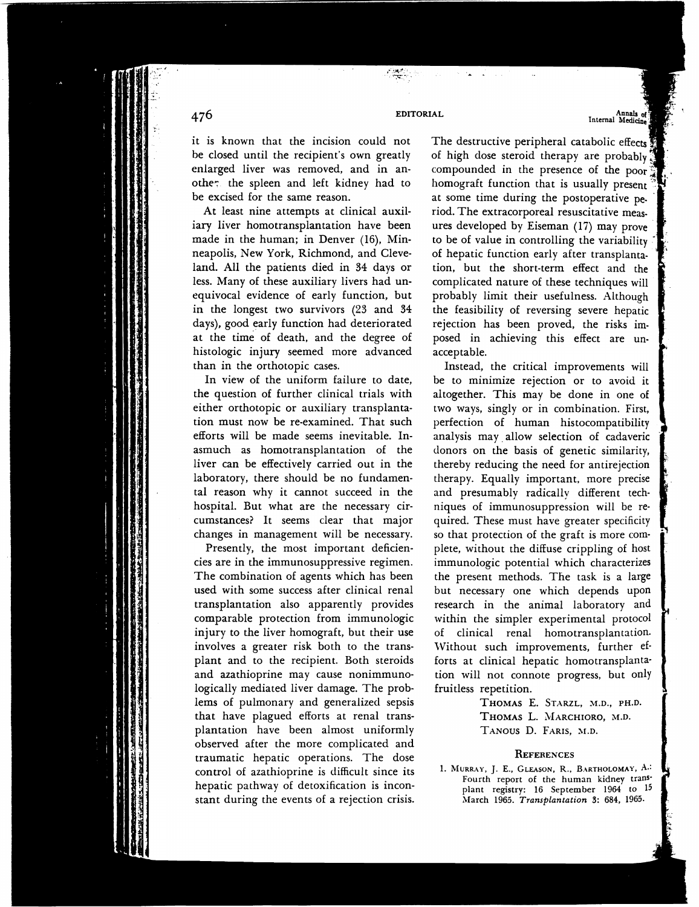### EDITORIAL

it is known that the incision could not be closed until the recipient's own greatly enlarged liver was removed, and in another the spleen and left kidney had to homograft function that is usually present be excised for the same reason.

At least nine attempts at clinical auxiliary liver homotransplantation have been made in the human; in Denver (16), Minneapolis, New York, Richmond, and Cleveland. All the patients died in 34 days or less. Many of these auxiliary livers had unequivocal evidence of early function, but in the longest two survivors (23 and 34 days), good early function had deteriorated at the time of death, and the degree of histologic injury seemed more advanced acceptable.

the question of further clinical trials with altogether. This may be done in one of either orthotopic or auxiliary transplanta- two ways, singly or in combination. First, tion must now be re-examined. That such perfection of human histocompatibility efforts will be made seems inevitable. In- analysis may, allow selection of cadaveric asmuch as homotransplantation of the liver can be effectively carried out in the laboratory, there should be no fundamental reason why it cannot succeed in the hospital. But what are the necessary cir- niques of immunosuppression will be recumstances? It seems clear that major quired. These must have greater specificity changes in management will be necessary. so that protection of the graft is more com-

cies are in the immunosuppressive regimen. immunologic potential which characterizes The combination of agents which has been the present methods. The task is a large used with some success after clinical renal but necessary one which depends upon transplantation also apparently provides research in the animal laboratory and comparable protection from immunologic within the simpler experimental protocol injury to the liver homograft, but their use of clinical renal homotransplantation. involves a greater risk both to the trans-<br>Without such improvements, further efplant and to the recipient. Both steroids forts at clinical hepatic homotransplantaand azathioprine may cause nonimmuno- tion will not connote progress, but only logically mediated liver damage. The prob- fruitless repetition. lems of pulmonary and generalized sepsis THOMAS E. STARZL, M.D., PH.D. that have plagued efforts at renal trans- THOMAS L. MARCHIORO, M.D. plantation have been almost uniformly TANOUS D. FARIS, **N.D.**  observed after the more complicated and traumatic hepatic operations. The dose<br>
control of azathioprine is difficult since its
<sup>1</sup>. MURRAY, J. E., GLEASON, R., BARTHOLOMAY, A.: control of azathioprine is difficult since its **1. MURRAY, J. E., GLEASON, R., BARTHOLOMAY, A.**<br>**Fourth** report of the human kidney trans **Fourth report of the human kidney trans-** hepatic pathway of detoxification is incon- **plant registry: 16 September 1964 to <sup>15</sup>** stant during the events of a rejection crisis. **March 1965. Transplantation 3: 684, 1965.** 

The destructive peripheral catabolic effects of high dose steroid therapy are probably compounded in the presence of the poor at some time during the postoperative period. The extracorporeal resuscitative measures developed by Eiseman (17) may prove to be of value in controlling the variability of hepatic function early after transplantation, but the short-term effect and the complicated nature of these techniques will probably limit their usefulness. Although the feasibility of reversing severe hepatic rejection has been proved, the risks imposed in achieving this effect are un-

Annals of<br>Internal Medicine

than in the orthotopic cases. Instead, the critical improvements will In view of the uniform failure to date, be to minimize rejection or to avoid it donors on the basis of genetic similarity, thereby reducing the need for antirejection therapy. Equally important, more precise and presumably radically different tech-Presently, the most important deficien-<br>plete, without the diffuse crippling of host

476